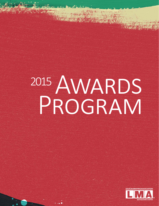## 2015 AWARDS PROGRAM